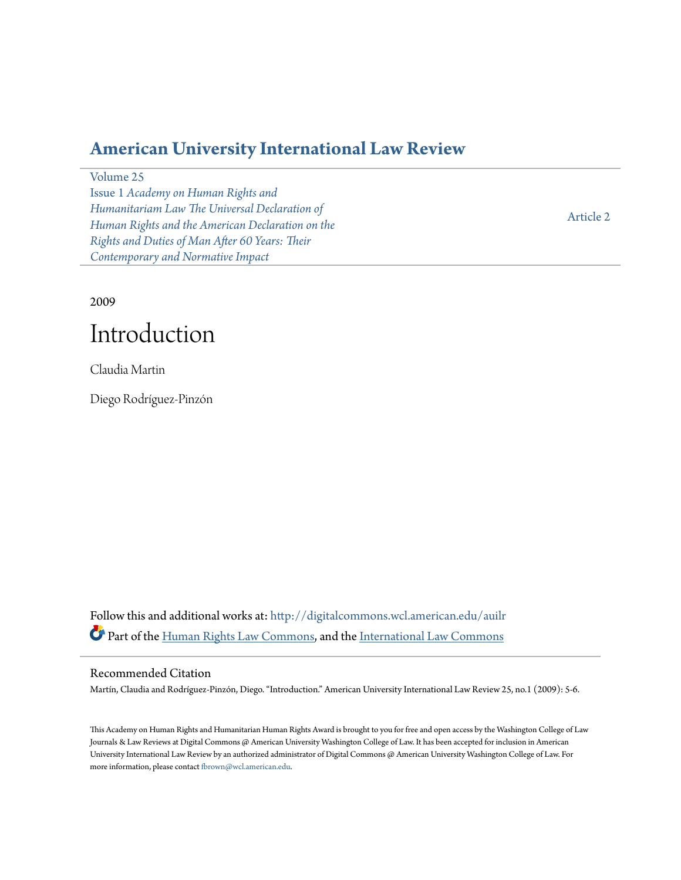## **[American University International Law Review](http://digitalcommons.wcl.american.edu/auilr?utm_source=digitalcommons.wcl.american.edu%2Fauilr%2Fvol25%2Fiss1%2F2&utm_medium=PDF&utm_campaign=PDFCoverPages)**

[Volume 25](http://digitalcommons.wcl.american.edu/auilr/vol25?utm_source=digitalcommons.wcl.american.edu%2Fauilr%2Fvol25%2Fiss1%2F2&utm_medium=PDF&utm_campaign=PDFCoverPages)

Issue 1 *[Academy on Human Rights and](http://digitalcommons.wcl.american.edu/auilr/vol25/iss1?utm_source=digitalcommons.wcl.american.edu%2Fauilr%2Fvol25%2Fiss1%2F2&utm_medium=PDF&utm_campaign=PDFCoverPages) [Humanitariam Law The Universal Declaration of](http://digitalcommons.wcl.american.edu/auilr/vol25/iss1?utm_source=digitalcommons.wcl.american.edu%2Fauilr%2Fvol25%2Fiss1%2F2&utm_medium=PDF&utm_campaign=PDFCoverPages) [Human Rights and the American Declaration on the](http://digitalcommons.wcl.american.edu/auilr/vol25/iss1?utm_source=digitalcommons.wcl.american.edu%2Fauilr%2Fvol25%2Fiss1%2F2&utm_medium=PDF&utm_campaign=PDFCoverPages) [Rights and Duties of Man After 60 Years: Their](http://digitalcommons.wcl.american.edu/auilr/vol25/iss1?utm_source=digitalcommons.wcl.american.edu%2Fauilr%2Fvol25%2Fiss1%2F2&utm_medium=PDF&utm_campaign=PDFCoverPages) [Contemporary and Normative Impact](http://digitalcommons.wcl.american.edu/auilr/vol25/iss1?utm_source=digitalcommons.wcl.american.edu%2Fauilr%2Fvol25%2Fiss1%2F2&utm_medium=PDF&utm_campaign=PDFCoverPages)*

[Article 2](http://digitalcommons.wcl.american.edu/auilr/vol25/iss1/2?utm_source=digitalcommons.wcl.american.edu%2Fauilr%2Fvol25%2Fiss1%2F2&utm_medium=PDF&utm_campaign=PDFCoverPages)

2009

# Introduction

Claudia Martin

Diego Rodríguez-Pinzón

Follow this and additional works at: [http://digitalcommons.wcl.american.edu/auilr](http://digitalcommons.wcl.american.edu/auilr?utm_source=digitalcommons.wcl.american.edu%2Fauilr%2Fvol25%2Fiss1%2F2&utm_medium=PDF&utm_campaign=PDFCoverPages) Part of the [Human Rights Law Commons,](http://network.bepress.com/hgg/discipline/847?utm_source=digitalcommons.wcl.american.edu%2Fauilr%2Fvol25%2Fiss1%2F2&utm_medium=PDF&utm_campaign=PDFCoverPages) and the [International Law Commons](http://network.bepress.com/hgg/discipline/609?utm_source=digitalcommons.wcl.american.edu%2Fauilr%2Fvol25%2Fiss1%2F2&utm_medium=PDF&utm_campaign=PDFCoverPages)

### Recommended Citation

Martín, Claudia and Rodríguez-Pinzón, Diego. "Introduction." American University International Law Review 25, no.1 (2009): 5-6.

This Academy on Human Rights and Humanitarian Human Rights Award is brought to you for free and open access by the Washington College of Law Journals & Law Reviews at Digital Commons @ American University Washington College of Law. It has been accepted for inclusion in American University International Law Review by an authorized administrator of Digital Commons @ American University Washington College of Law. For more information, please contact [fbrown@wcl.american.edu](mailto:fbrown@wcl.american.edu).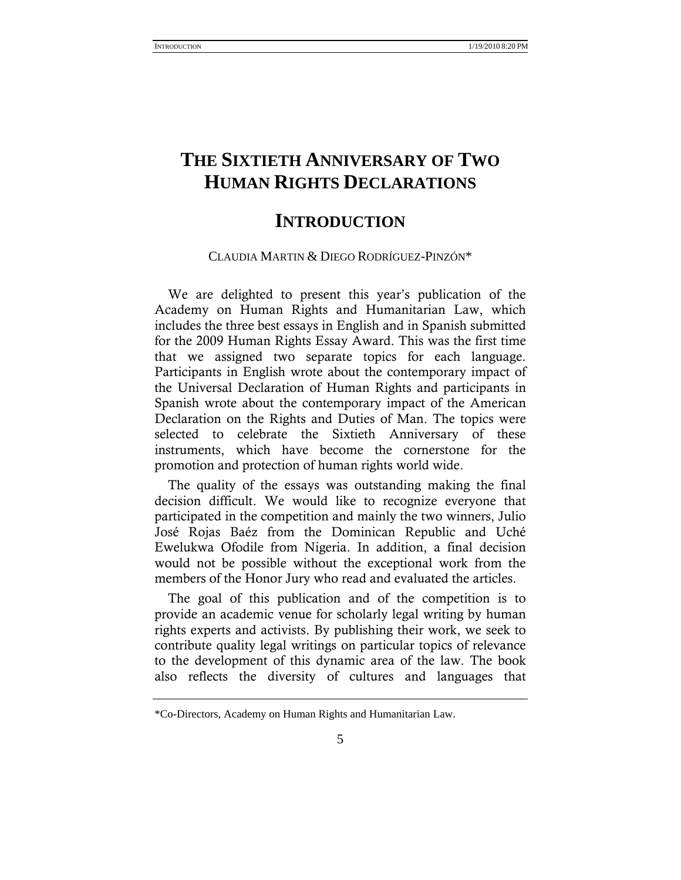# **THE SIXTIETH ANNIVERSARY OF TWO HUMAN RIGHTS DECLARATIONS**

### **INTRODUCTION**

#### CLAUDIA MARTIN & DIEGO RODRÍGUEZ-PINZÓN\*

We are delighted to present this year's publication of the Academy on Human Rights and Humanitarian Law, which includes the three best essays in English and in Spanish submitted for the 2009 Human Rights Essay Award. This was the first time that we assigned two separate topics for each language. Participants in English wrote about the contemporary impact of the Universal Declaration of Human Rights and participants in Spanish wrote about the contemporary impact of the American Declaration on the Rights and Duties of Man. The topics were selected to celebrate the Sixtieth Anniversary of these instruments, which have become the cornerstone for the promotion and protection of human rights world wide.

The quality of the essays was outstanding making the final decision difficult. We would like to recognize everyone that participated in the competition and mainly the two winners, Julio José Rojas Baéz from the Dominican Republic and Uché Ewelukwa Ofodile from Nigeria. In addition, a final decision would not be possible without the exceptional work from the members of the Honor Jury who read and evaluated the articles.

The goal of this publication and of the competition is to provide an academic venue for scholarly legal writing by human rights experts and activists. By publishing their work, we seek to contribute quality legal writings on particular topics of relevance to the development of this dynamic area of the law. The book also reflects the diversity of cultures and languages that

<sup>\*</sup>Co-Directors, Academy on Human Rights and Humanitarian Law.